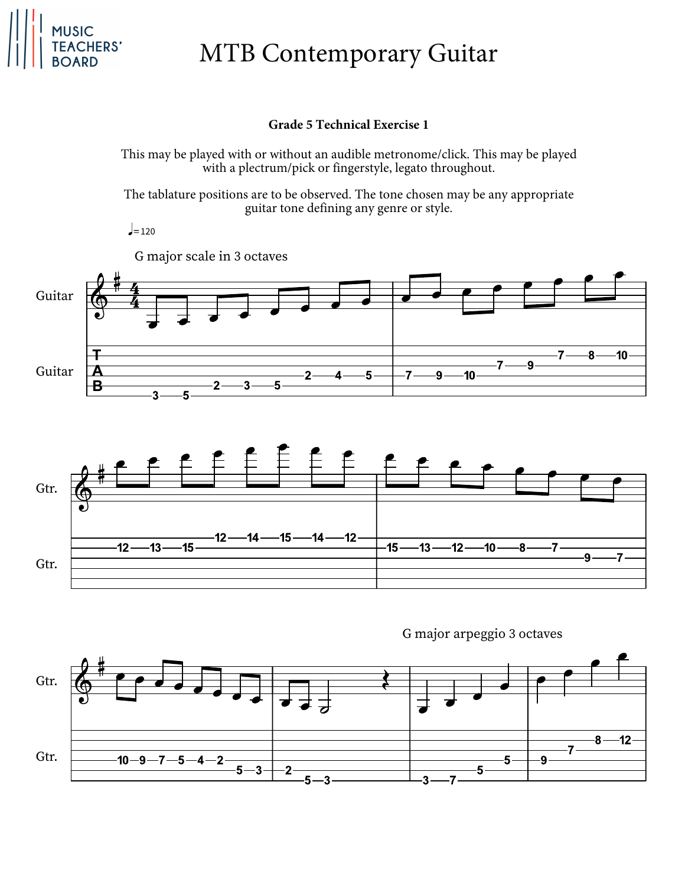

## MTB Contemporary Guitar

## **Grade 5 Technical Exercise 1**

This may be played with or without an audible metronome/click. This may be played with a plectrum/pick or fingerstyle, legato throughout.

The tablature positions are to be observed. The tone chosen may be any appropriate guitar tone defining any genre or style.

 $=120$ 

G major scale in 3 octaves





G major arpeggio 3 octaves

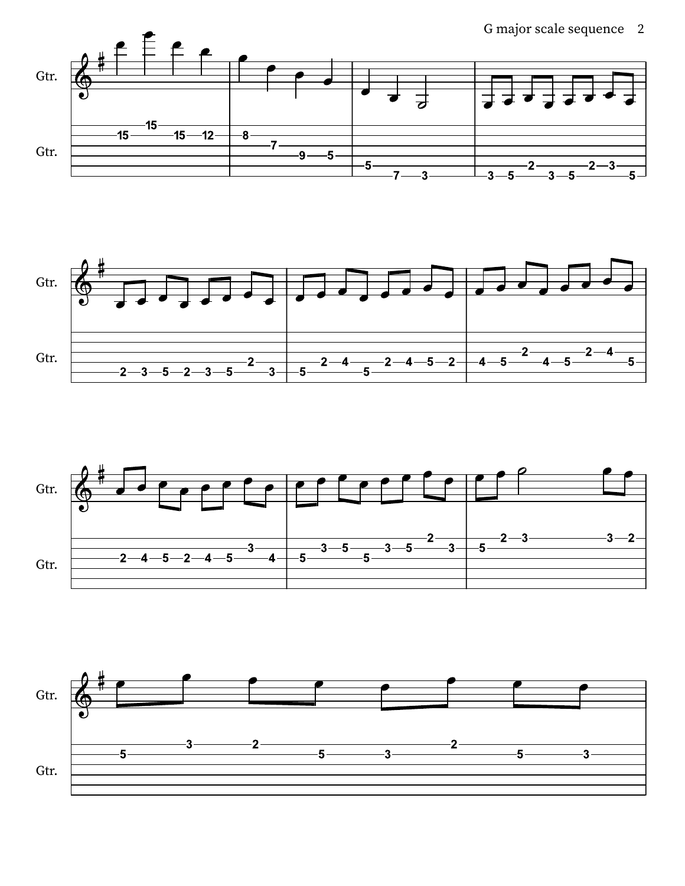







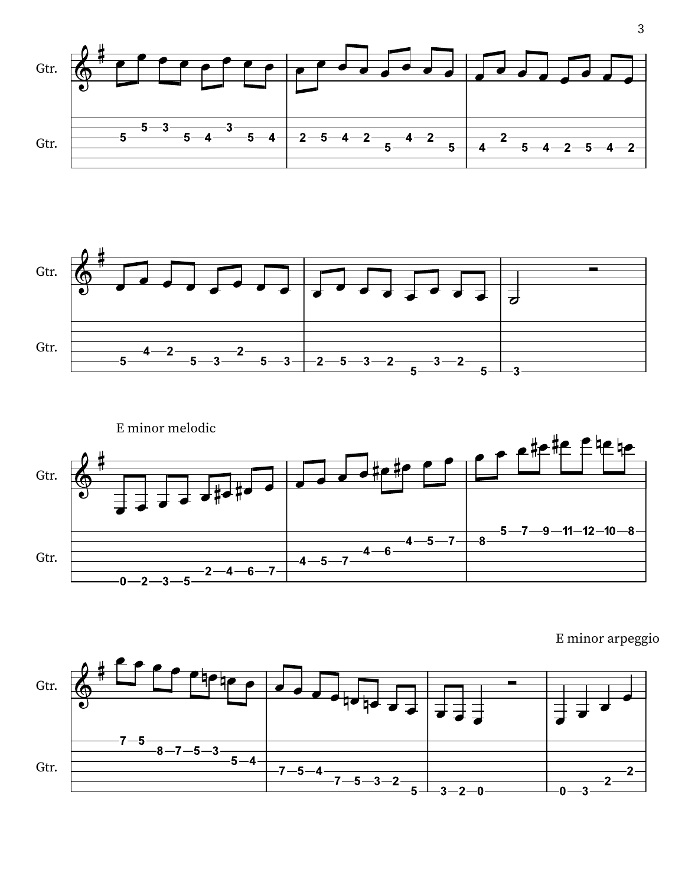





E minor arpeggio

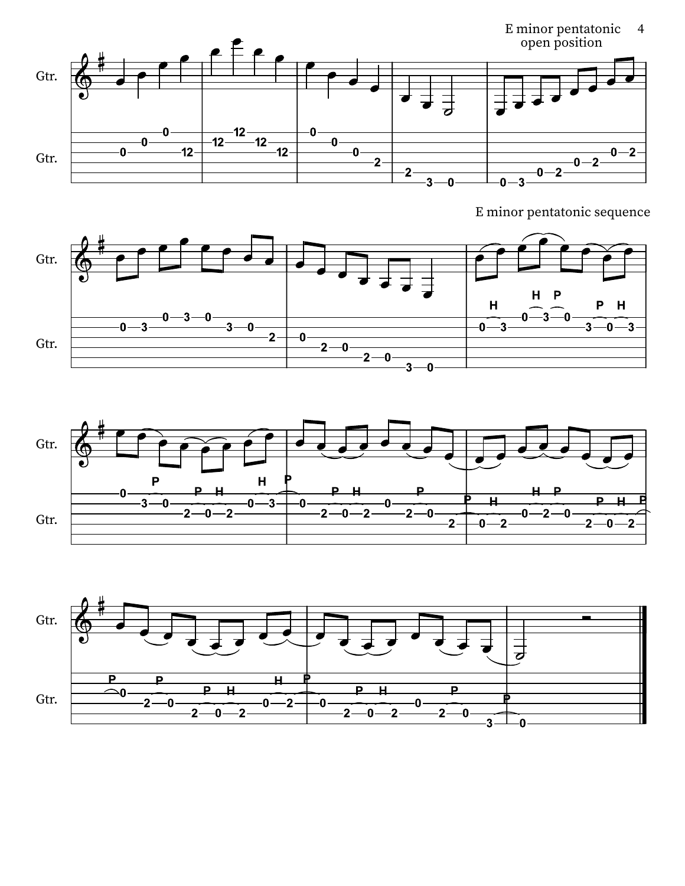

E minor pentatonic sequence





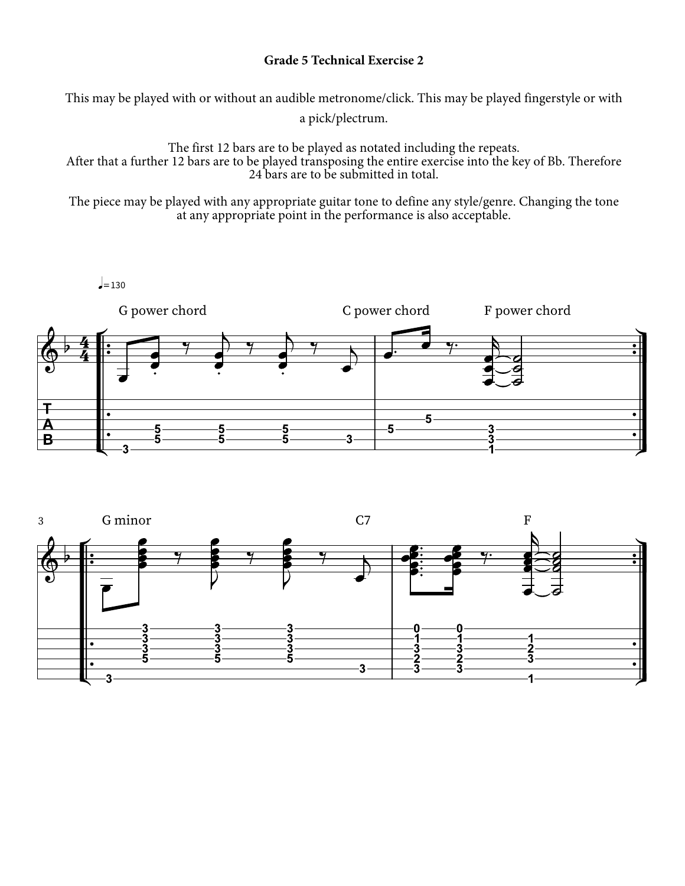## **Grade 5 Technical Exercise 2**

This may be played with or without an audible metronome/click. This may be played fingerstyle or with a pick/plectrum.

The first 12 bars are to be played as notated including the repeats. After that a further 12 bars are to be played transposing the entire exercise into the key of Bb. Therefore 24 bars are to be submitted in total.

The piece may be played with any appropriate guitar tone to define any style/genre. Changing the tone at any appropriate point in the performance is also acceptable.

```
\vert=130
```


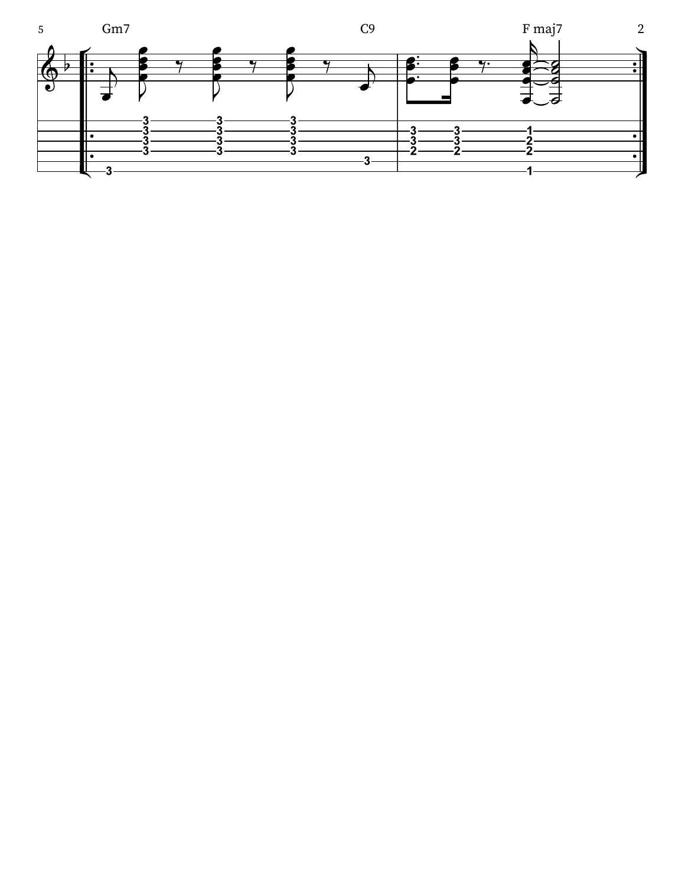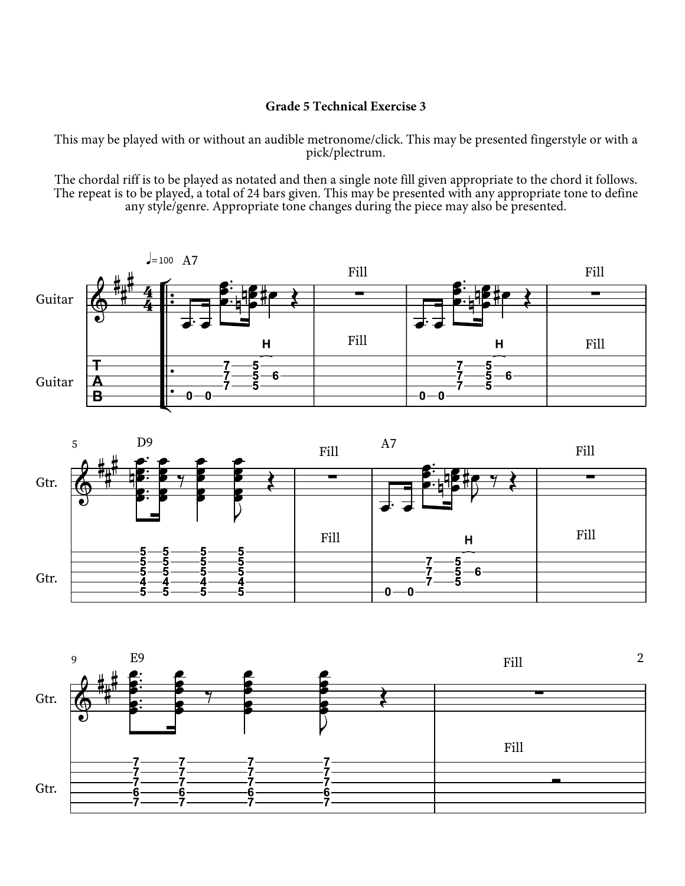## **Grade 5 Technical Exercise 3**

This may be played with or without an audible metronome/click. This may be presented fingerstyle or with a pick/plectrum.

The chordal riff is to be played as notated and then a single note fill given appropriate to the chord it follows. The repeat is to be played, a total of 24 bars given. This may be presented with any appropriate tone to define any style/genre. Appropriate tone changes during the piece may also be presented.